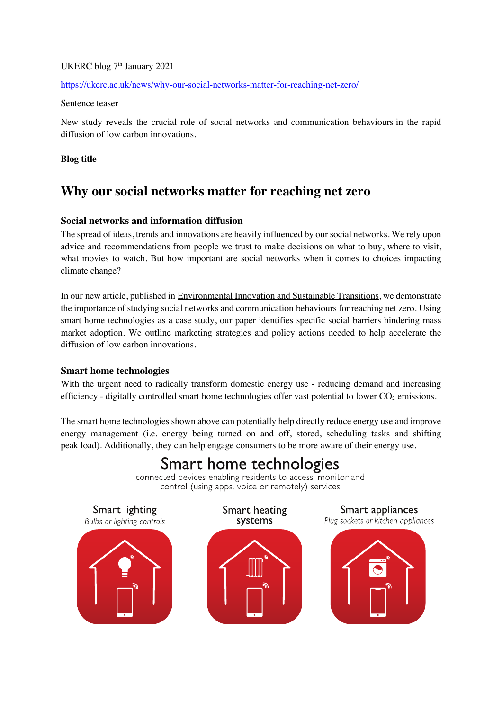# UKERC blog 7<sup>th</sup> January 2021

## https://ukerc.ac.uk/news/why-our-social-networks-matter-for-reaching-net-zero/

#### Sentence teaser

New study reveals the crucial role of social networks and communication behaviours in the rapid diffusion of low carbon innovations.

### **Blog title**

# **Why our social networks matter for reaching net zero**

# **Social networks and information diffusion**

The spread of ideas, trends and innovations are heavily influenced by our social networks. We rely upon advice and recommendations from people we trust to make decisions on what to buy, where to visit, what movies to watch. But how important are social networks when it comes to choices impacting climate change?

In our new article, published in Environmental Innovation and Sustainable Transitions, we demonstrate the importance of studying social networks and communication behaviours for reaching net zero. Using smart home technologies as a case study, our paper identifies specific social barriers hindering mass market adoption. We outline marketing strategies and policy actions needed to help accelerate the diffusion of low carbon innovations.

#### **Smart home technologies**

With the urgent need to radically transform domestic energy use - reducing demand and increasing efficiency - digitally controlled smart home technologies offer vast potential to lower  $CO<sub>2</sub>$  emissions.

The smart home technologies shown above can potentially help directly reduce energy use and improve energy management (i.e. energy being turned on and off, stored, scheduling tasks and shifting peak load). Additionally, they can help engage consumers to be more aware of their energy use.

# Smart home technologies connected devices enabling residents to access, monitor and control (using apps, voice or remotely) services Smart lighting Smart heating Smart appliances Plug sockets or kitchen appliances Bulbs or lighting controls systems